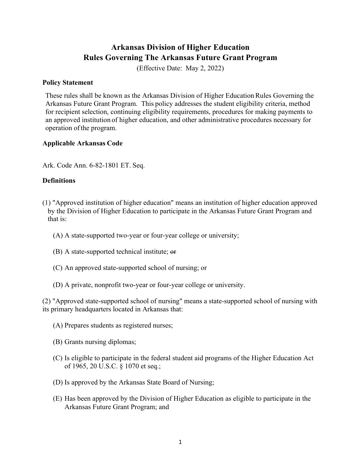# **Arkansas Division of Higher Education Rules Governing The Arkansas Future Grant Program**

(Effective Date: May 2, 2022)

#### **Policy Statement**

These rules shall be known as the Arkansas Division of Higher EducationRules Governing the Arkansas Future Grant Program. This policy addresses the student eligibility criteria, method for recipient selection, continuing eligibility requirements, procedures for making payments to an approved institution of higher education, and other administrative procedures necessary for operation ofthe program.

## **Applicable Arkansas Code**

Ark. Code Ann. 6-82-1801 ET. Seq.

# **Definitions**

- (1) "Approved institution of higher education" means an institution of higher education approved by the Division of Higher Education to participate in the Arkansas Future Grant Program and that is:
	- (A) A state-supported two-year or four-year college or university;
	- $(B)$  A state-supported technical institute;  $\Theta$
	- (C) An approved state-supported school of nursing; or
	- (D) A private, nonprofit two-year or four-year college or university.

(2) "Approved state-supported school of nursing" means a state-supported school of nursing with its primary headquarters located in Arkansas that:

- (A) Prepares students as registered nurses;
- (B) Grants nursing diplomas;
- (C) Is eligible to participate in the federal student aid programs of the Higher Education Act of 1965, 20 U.S.C. § 1070 et seq.;
- (D) Is approved by the Arkansas State Board of Nursing;
- (E) Has been approved by the Division of Higher Education as eligible to participate in the Arkansas Future Grant Program; and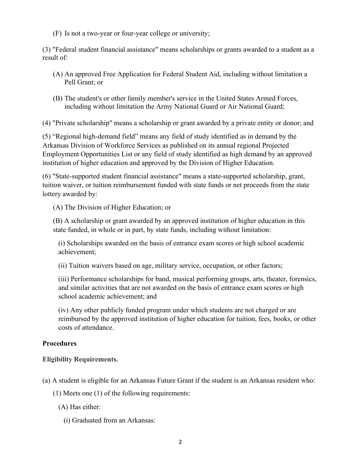(F) Is not a two-year or four-year college or university;

(3) "Federal student financial assistance" means scholarships or grants awarded to a student as a result of:

- (A) An approved Free Application for Federal Student Aid, including without limitation a Pell Grant; or
- (B) The student's or other family member's service in the United States Armed Forces, including without limitation the Army National Guard or Air National Guard;

(4) "Private scholarship" means a scholarship or grant awarded by a private entity or donor; and

(5) "Regional high-demand field" means any field of study identified as in demand by the Arkansas Division of Workforce Services as published on its annual regional Projected Employment Opportunities List or any field of study identified as high demand by an approved institution of higher education and approved by the Division of Higher Education.

(6) "State-supported student financial assistance" means a state-supported scholarship, grant, tuition waiver, or tuition reimbursement funded with state funds or net proceeds from the state lottery awarded by:

(A) The Division of Higher Education; or

(B) A scholarship or grant awarded by an approved institution of higher education in this state funded, in whole or in part, by state funds, including without limitation:

(i) Scholarships awarded on the basis of entrance exam scores or high school academic achievement;

(ii) Tuition waivers based on age, military service, occupation, or other factors;

(iii) Performance scholarships for band, musical performing groups, arts, theater, forensics, and similar activities that are not awarded on the basis of entrance exam scores or high school academic achievement; and

(iv) Any other publicly funded program under which students are not charged or are reimbursed by the approved institution of higher education for tuition, fees, books, or other costs of attendance.

#### **Procedures**

#### **Eligibility Requirements.**

(a) A student is eligible for an Arkansas Future Grant if the student is an Arkansas resident who:

(1) Meets one (1) of the following requirements:

- (A) Has either:
	- (i) Graduated from an Arkansas: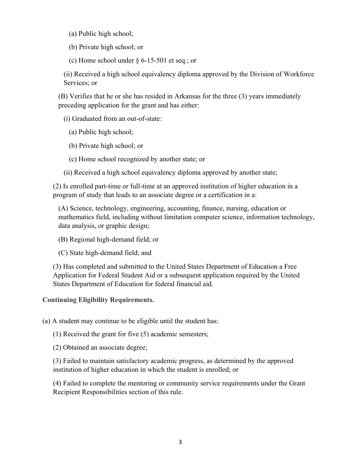- (a) Public high school;
- (b) Private high school; or
- (c) Home school under § 6-15-501 et seq.; or

(ii) Received a high school equivalency diploma approved by the Division of Workforce Services; or

(B) Verifies that he or she has resided in Arkansas for the three (3) years immediately preceding application for the grant and has either:

(i) Graduated from an out-of-state:

- (a) Public high school;
- (b) Private high school; or
- (c) Home school recognized by another state; or
- (ii) Received a high school equivalency diploma approved by another state;

(2) Is enrolled part-time or full-time at an approved institution of higher education in a program of study that leads to an associate degree or a certification in a:

(A) Science, technology, engineering, accounting, finance, nursing, education or mathematics field, including without limitation computer science, information technology, data analysis, or graphic design;

- (B) Regional high-demand field; or
- (C) State high-demand field; and

(3) Has completed and submitted to the United States Department of Education a Free Application for Federal Student Aid or a subsequent application required by the United States Department of Education for federal financial aid.

#### **Continuing Eligibility Requirements.**

(a) A student may continue to be eligible until the student has:

(1) Received the grant for five (5) academic semesters;

(2) Obtained an associate degree;

(3) Failed to maintain satisfactory academic progress, as determined by the approved institution of higher education in which the student is enrolled; or

(4) Failed to complete the mentoring or community service requirements under the Grant Recipient Responsibilities section of this rule.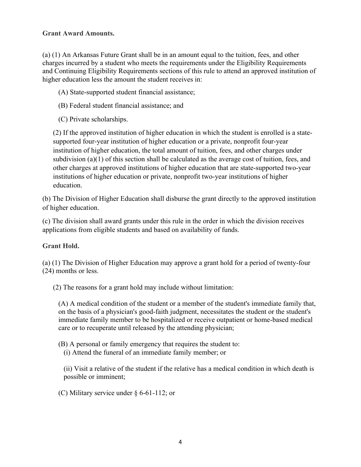## **Grant Award Amounts.**

(a) (1) An Arkansas Future Grant shall be in an amount equal to the tuition, fees, and other charges incurred by a student who meets the requirements under the Eligibility Requirements and Continuing Eligibility Requirements sections of this rule to attend an approved institution of higher education less the amount the student receives in:

(A) State-supported student financial assistance;

(B) Federal student financial assistance; and

(C) Private scholarships.

(2) If the approved institution of higher education in which the student is enrolled is a statesupported four-year institution of higher education or a private, nonprofit four-year institution of higher education, the total amount of tuition, fees, and other charges under subdivision (a)(1) of this section shall be calculated as the average cost of tuition, fees, and other charges at approved institutions of higher education that are state-supported two-year institutions of higher education or private, nonprofit two-year institutions of higher education.

(b) The Division of Higher Education shall disburse the grant directly to the approved institution of higher education.

(c) The division shall award grants under this rule in the order in which the division receives applications from eligible students and based on availability of funds.

#### **Grant Hold.**

(a) (1) The Division of Higher Education may approve a grant hold for a period of twenty-four (24) months or less.

(2) The reasons for a grant hold may include without limitation:

(A) A medical condition of the student or a member of the student's immediate family that, on the basis of a physician's good-faith judgment, necessitates the student or the student's immediate family member to be hospitalized or receive outpatient or home-based medical care or to recuperate until released by the attending physician;

(B) A personal or family emergency that requires the student to:

(i) Attend the funeral of an immediate family member; or

(ii) Visit a relative of the student if the relative has a medical condition in which death is possible or imminent;

(C) Military service under § 6-61-112; or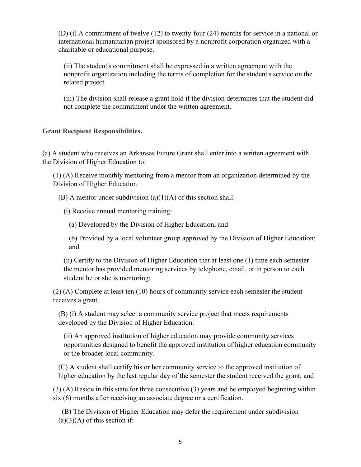(D) (i) A commitment of twelve (12) to twenty-four (24) months for service in a national or international humanitarian project sponsored by a nonprofit corporation organized with a charitable or educational purpose.

(ii) The student's commitment shall be expressed in a written agreement with the nonprofit organization including the terms of completion for the student's service on the related project.

(iii) The division shall release a grant hold if the division determines that the student did not complete the commitment under the written agreement.

## **Grant Recipient Responsibilities.**

(a) A student who receives an Arkansas Future Grant shall enter into a written agreement with the Division of Higher Education to:

(1) (A) Receive monthly mentoring from a mentor from an organization determined by the Division of Higher Education.

(B) A mentor under subdivision  $(a)(1)(A)$  of this section shall:

(i) Receive annual mentoring training:

(a) Developed by the Division of Higher Education; and

(b) Provided by a local volunteer group approved by the Division of Higher Education; and

(ii) Certify to the Division of Higher Education that at least one (1) time each semester the mentor has provided mentoring services by telephone, email, or in person to each student he or she is mentoring;

(2) (A) Complete at least ten (10) hours of community service each semester the student receives a grant.

(B) (i) A student may select a community service project that meets requirements developed by the Division of Higher Education.

(ii) An approved institution of higher education may provide community services opportunities designed to benefit the approved institution of higher education community or the broader local community.

(C) A student shall certify his or her community service to the approved institution of higher education by the last regular day of the semester the student received the grant; and

(3) (A) Reside in this state for three consecutive (3) years and be employed beginning within six (6) months after receiving an associate degree or a certification.

 (B) The Division of Higher Education may defer the requirement under subdivision  $(a)(3)(A)$  of this section if: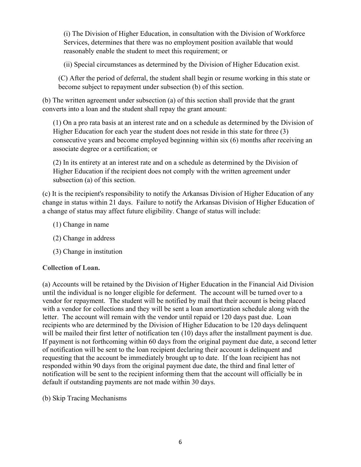(i) The Division of Higher Education, in consultation with the Division of Workforce Services, determines that there was no employment position available that would reasonably enable the student to meet this requirement; or

(ii) Special circumstances as determined by the Division of Higher Education exist.

(C) After the period of deferral, the student shall begin or resume working in this state or become subject to repayment under subsection (b) of this section.

(b) The written agreement under subsection (a) of this section shall provide that the grant converts into a loan and the student shall repay the grant amount:

(1) On a pro rata basis at an interest rate and on a schedule as determined by the Division of Higher Education for each year the student does not reside in this state for three (3) consecutive years and become employed beginning within six (6) months after receiving an associate degree or a certification; or

(2) In its entirety at an interest rate and on a schedule as determined by the Division of Higher Education if the recipient does not comply with the written agreement under subsection (a) of this section.

(c) It is the recipient's responsibility to notify the Arkansas Division of Higher Education of any change in status within 21 days. Failure to notify the Arkansas Division of Higher Education of a change of status may affect future eligibility. Change of status will include:

- (1) Change in name
- (2) Change in address
- (3) Change in institution

# **Collection of Loan.**

(a) Accounts will be retained by the Division of Higher Education in the Financial Aid Division until the individual is no longer eligible for deferment. The account will be turned over to a vendor for repayment. The student will be notified by mail that their account is being placed with a vendor for collections and they will be sent a loan amortization schedule along with the letter. The account will remain with the vendor until repaid or 120 days past due. Loan recipients who are determined by the Division of Higher Education to be 120 days delinquent will be mailed their first letter of notification ten (10) days after the installment payment is due. If payment is not forthcoming within 60 days from the original payment due date, a second letter of notification will be sent to the loan recipient declaring their account is delinquent and requesting that the account be immediately brought up to date. If the loan recipient has not responded within 90 days from the original payment due date, the third and final letter of notification will be sent to the recipient informing them that the account will officially be in default if outstanding payments are not made within 30 days.

(b) Skip Tracing Mechanisms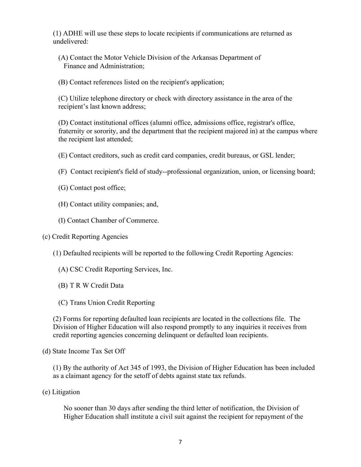(1) ADHE will use these steps to locate recipients if communications are returned as undelivered:

- (A) Contact the Motor Vehicle Division of the Arkansas Department of Finance and Administration;
- (B) Contact references listed on the recipient's application;

(C) Utilize telephone directory or check with directory assistance in the area of the recipient's last known address;

(D) Contact institutional offices (alumni office, admissions office, registrar's office, fraternity or sorority, and the department that the recipient majored in) at the campus where the recipient last attended;

(E) Contact creditors, such as credit card companies, credit bureaus, or GSL lender;

(F) Contact recipient's field of study--professional organization, union, or licensing board;

- (G) Contact post office;
- (H) Contact utility companies; and,
- (I) Contact Chamber of Commerce.

#### (c) Credit Reporting Agencies

(1) Defaulted recipients will be reported to the following Credit Reporting Agencies:

- (A) CSC Credit Reporting Services, Inc.
- (B) T R W Credit Data
- (C) Trans Union Credit Reporting

(2) Forms for reporting defaulted loan recipients are located in the collections file. The Division of Higher Education will also respond promptly to any inquiries it receives from credit reporting agencies concerning delinquent or defaulted loan recipients.

(d) State Income Tax Set Off

(1) By the authority of Act 345 of 1993, the Division of Higher Education has been included as a claimant agency for the setoff of debts against state tax refunds.

(e) Litigation

No sooner than 30 days after sending the third letter of notification, the Division of Higher Education shall institute a civil suit against the recipient for repayment of the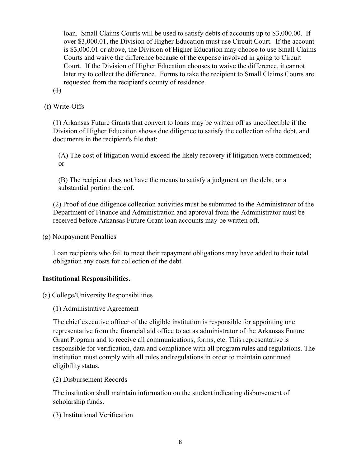loan. Small Claims Courts will be used to satisfy debts of accounts up to \$3,000.00. If over \$3,000.01, the Division of Higher Education must use Circuit Court. If the account is \$3,000.01 or above, the Division of Higher Education may choose to use Small Claims Courts and waive the difference because of the expense involved in going to Circuit Court. If the Division of Higher Education chooses to waive the difference, it cannot later try to collect the difference. Forms to take the recipient to Small Claims Courts are requested from the recipient's county of residence.

 $\bigoplus$ 

(f) Write-Offs

(1) Arkansas Future Grants that convert to loans may be written off as uncollectible if the Division of Higher Education shows due diligence to satisfy the collection of the debt, and documents in the recipient's file that:

(A) The cost of litigation would exceed the likely recovery if litigation were commenced; or

(B) The recipient does not have the means to satisfy a judgment on the debt, or a substantial portion thereof.

(2) Proof of due diligence collection activities must be submitted to the Administrator of the Department of Finance and Administration and approval from the Administrator must be received before Arkansas Future Grant loan accounts may be written off.

(g) Nonpayment Penalties

Loan recipients who fail to meet their repayment obligations may have added to their total obligation any costs for collection of the debt.

#### **Institutional Responsibilities.**

(a) College/University Responsibilities

(1) Administrative Agreement

The chief executive officer of the eligible institution is responsible for appointing one representative from the financial aid office to act as administrator of the Arkansas Future Grant Program and to receive all communications, forms, etc. This representative is responsible for verification, data and compliance with all program rules and regulations. The institution must comply with all rules and regulations in order to maintain continued eligibility status.

(2) Disbursement Records

The institution shall maintain information on the student indicating disbursement of scholarship funds.

(3) Institutional Verification